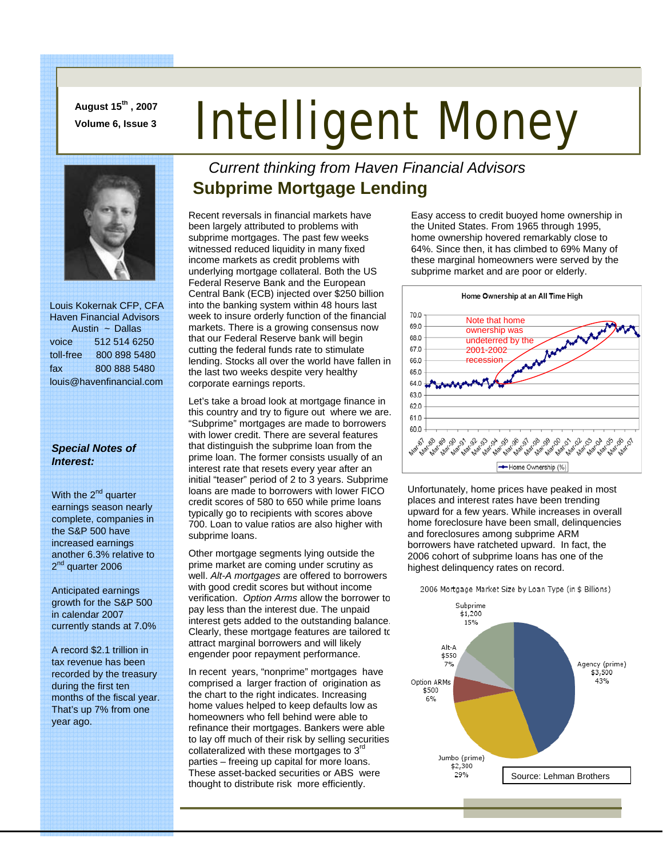**August 15th , 2007** 

# August 15", 2007<br>Volume 6, Issue 3<br>**Intelligent Money**



 Louis Kokernak CFP, CFA Haven Financial Advisors Austin ~ Dallas voice 512 514 6250 toll-free 800 898 5480 fax 800 888 5480 louis@havenfinancial.com

#### *Special Notes of Interest:*

With the  $2^{nd}$  quarter earnings season nearly complete, companies in the S&P 500 have increased earnings another 6.3% relative to 2<sup>nd</sup> quarter 2006

Anticipated earnings growth for the S&P 500 in calendar 2007 currently stands at 7.0%

A record \$2.1 trillion in tax revenue has been recorded by the treasury during the first ten months of the fiscal year. That's up 7% from one year ago.

#### *Current thinking from Haven Financial Advisors*  **Subprime Mortgage Lending**

Recent reversals in financial markets have been largely attributed to problems with subprime mortgages. The past few weeks witnessed reduced liquidity in many fixed income markets as credit problems with underlying mortgage collateral. Both the US Federal Reserve Bank and the European Central Bank (ECB) injected over \$250 billion into the banking system within 48 hours last week to insure orderly function of the financial markets. There is a growing consensus now that our Federal Reserve bank will begin cutting the federal funds rate to stimulate lending. Stocks all over the world have fallen in the last two weeks despite very healthy corporate earnings reports.

Let's take a broad look at mortgage finance in this country and try to figure out where we are. "Subprime" mortgages are made to borrowers with lower credit. There are several features that distinguish the subprime loan from the prime loan. The former consists usually of an interest rate that resets every year after an initial "teaser" period of 2 to 3 years. Subprime loans are made to borrowers with lower FICO credit scores of 580 to 650 while prime loans typically go to recipients with scores above 700. Loan to value ratios are also higher with subprime loans.

Other mortgage segments lying outside the prime market are coming under scrutiny as well. *Alt-A mortgages* are offered to borrowers with good credit scores but without income verification. *Option Arms* allow the borrower to pay less than the interest due. The unpaid interest gets added to the outstanding balance. Clearly, these mortgage features are tailored to attract marginal borrowers and will likely engender poor repayment performance.

In recent years, "nonprime" mortgages have comprised a larger fraction of origination as the chart to the right indicates. Increasing home values helped to keep defaults low as homeowners who fell behind were able to refinance their mortgages. Bankers were able to lay off much of their risk by selling securities collateralized with these mortgages to 3<sup>rd</sup> parties – freeing up capital for more loans. These asset-backed securities or ABS were thought to distribute risk more efficiently.

Easy access to credit buoyed home ownership in the United States. From 1965 through 1995, home ownership hovered remarkably close to 64%. Since then, it has climbed to 69% Many of these marginal homeowners were served by the subprime market and are poor or elderly.



Unfortunately, home prices have peaked in most places and interest rates have been trending upward for a few years. While increases in overall home foreclosure have been small, delinquencies and foreclosures among subprime ARM borrowers have ratcheted upward. In fact, the 2006 cohort of subprime loans has one of the highest delinquency rates on record.

2006 Mortgage Market Size by Loan Type (in \$ Billions)